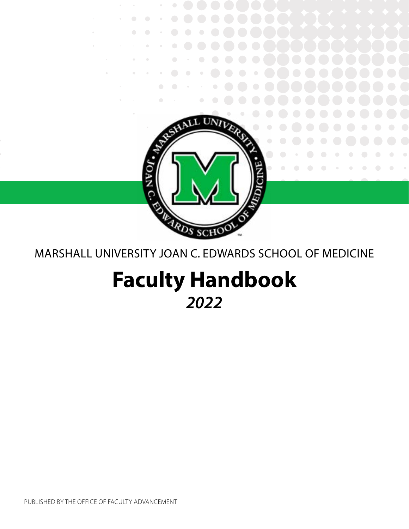

# MARSHALL UNIVERSITY JOAN C. EDWARDS SCHOOL OF MEDICINE

# **Faculty Handbook** *2022*

PUBLISHED BY THE OFFICE OF FACULTY ADVANCEMENT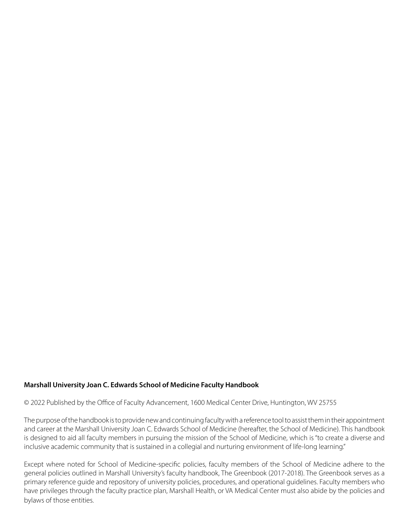#### **Marshall University Joan C. Edwards School of Medicine Faculty Handbook**

© 2022 Published by the Office of Faculty Advancement, 1600 Medical Center Drive, Huntington, WV 25755

The purpose of the handbook is to provide new and continuing faculty with a reference tool to assist them in their appointment and career at the Marshall University Joan C. Edwards School of Medicine (hereafter, the School of Medicine). This handbook is designed to aid all faculty members in pursuing the mission of the School of Medicine, which is "to create a diverse and inclusive academic community that is sustained in a collegial and nurturing environment of life-long learning."

Except where noted for School of Medicine-specific policies, faculty members of the School of Medicine adhere to the general policies outlined in Marshall University's faculty handbook, The Greenbook (2017-2018). The Greenbook serves as a primary reference guide and repository of university policies, procedures, and operational guidelines. Faculty members who have privileges through the faculty practice plan, Marshall Health, or VA Medical Center must also abide by the policies and bylaws of those entities.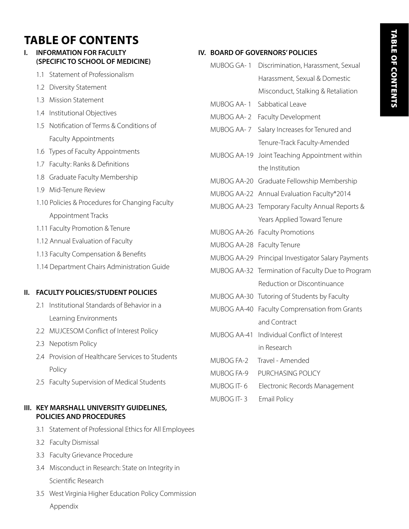# **TABLE OF CONTENTS**

#### **I. INFORMATION FOR FACULTY (SPECIFIC TO SCHOOL OF MEDICINE)**

- 1.1 Statement of Professionalism
- 1.2 Diversity Statement
- 1.3 Mission Statement
- 1.4 Institutional Objectives
- 1.5 Notification of Terms & Conditions of Faculty Appointments
- 1.6 Types of Faculty Appointments
- 1.7 Faculty: Ranks & Definitions
- 1.8 Graduate Faculty Membership
- 1.9 Mid-Tenure Review
- 1.10 Policies & Procedures for Changing Faculty Appointment Tracks
- 1.11 Faculty Promotion & Tenure
- 1.12 Annual Evaluation of Faculty
- 1.13 Faculty Compensation & Benefits
- 1.14 Department Chairs Administration Guide

#### **II. FACULTY POLICIES/STUDENT POLICIES**

- 2.1 Institutional Standards of Behavior in a Learning Environments
- 2.2 MUJCESOM Conflict of Interest Policy
- 2.3 Nepotism Policy
- 2.4 Provision of Healthcare Services to Students Policy
- 2.5 Faculty Supervision of Medical Students

#### **III. KEY MARSHALL UNIVERSITY GUIDELINES, POLICIES AND PROCEDURES**

- 3.1 Statement of Professional Ethics for All Employees
- 3.2 Faculty Dismissal
- 3.3 Faculty Grievance Procedure
- 3.4 Misconduct in Research: State on Integrity in Scientific Research
- 3.5 West Virginia Higher Education Policy Commission Appendix

#### **IV. BOARD OF GOVERNORS' POLICIES**

- MUBOG GA- 1 Discrimination, Harassment, Sexual Harassment, Sexual & Domestic
	- Misconduct, Stalking & Retaliation
- MUBOG AA- 1 Sabbatical Leave
- MUBOG AA- 2 Faculty Development
- MUBOG AA- 7 Salary Increases for Tenured and Tenure-Track Faculty-Amended
- MUBOG AA-19 Joint Teaching Appointment within the Institution
- MUBOG AA-20 Graduate Fellowship Membership
- MUBOG AA-22 Annual Evaluation Faculty\*2014
- MUBOG AA-23 Temporary Faculty Annual Reports & Years Applied Toward Tenure
- MUBOG AA-26 Faculty Promotions
- MUBOG AA-28 Faculty Tenure
- MUBOG AA-29 Principal Investigator Salary Payments
- MUBOG AA-32 Termination of Faculty Due to Program Reduction or Discontinuance
- MUBOG AA-30 Tutoring of Students by Faculty
- MUBOG AA-40 Faculty Comprensation from Grants and Contract
- MUBOG AA-41 Individual Conflict of Interest in Research
- MUBOG FA-2 Travel Amended
- MUBOG FA-9 PURCHASING POLICY
- MUBOG IT- 6 Electronic Records Management
- MUBOG IT- 3 Email Policy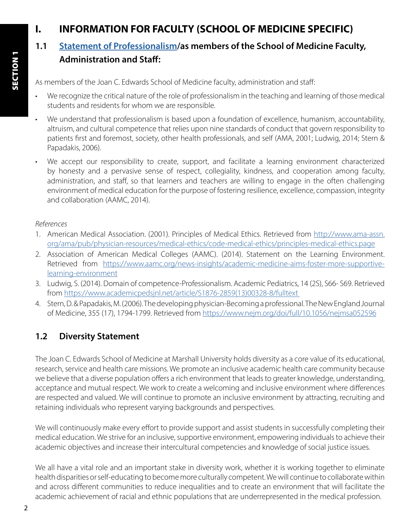# **I. INFORMATION FOR FACULTY (SCHOOL OF MEDICINE SPECIFIC)**

# **1.1 [Statement of Professionalism](https://jcesom.marshall.edu/media/52838/statement-of-professionalism.pdf)/as members of the School of Medicine Faculty, Administration and Staff:**

As members of the Joan C. Edwards School of Medicine faculty, administration and staff:

- We recognize the critical nature of the role of professionalism in the teaching and learning of those medical students and residents for whom we are responsible.
- We understand that professionalism is based upon a foundation of excellence, humanism, accountability, altruism, and cultural competence that relies upon nine standards of conduct that govern responsibility to patients first and foremost, society, other health professionals, and self (AMA, 2001; Ludwig, 2014; Stern & Papadakis, 2006).
- We accept our responsibility to create, support, and facilitate a learning environment characterized by honesty and a pervasive sense of respect, collegiality, kindness, and cooperation among faculty, administration, and staff, so that learners and teachers are willing to engage in the often challenging environment of medical education for the purpose of fostering resilience, excellence, compassion, integrity and collaboration (AAMC, 2014).

#### *References*

- 1. American Medical Association. (2001). Principles of Medical Ethics. Retrieved from [http://www.ama-assn.](http://www.ama-assn.org/ama/pub/physician-resources/medical-ethics/code-medical- ethics/principles-m) [org/ama/pub/physician-resources/medical-ethics/code-medical-ethics/principles-medical-ethics.page](http://www.ama-assn.org/ama/pub/physician-resources/medical-ethics/code-medical- ethics/principles-m)
- 2. Association of American Medical Colleges (AAMC). (2014). Statement on the Learning Environment. Retrieved from [https://www.aamc.org/news-insights/academic-medicine-aims-foster-more-supportive](https://www.aamc.org/news-insights/academic-medicine-aims-foster-more-supportive-learning-environmen)[learning-environment](https://www.aamc.org/news-insights/academic-medicine-aims-foster-more-supportive-learning-environmen)
- 3. Ludwig, S. (2014). Domain of competence-Professionalism. Academic Pediatrics, 14 (2S), S66- S69. Retrieved from [https://www.academicpedsjnl.net/article/S1876-2859\(13\)00328-8/fulltext](https://www.academicpedsjnl.net/article/S1876-2859(13)00328-8/fulltext  )
- 4. Stern, D. & Papadakis, M. (2006). The developing physician-Becoming a professional. The New England Journal of Medicine, 355 (17), 1794-1799. Retrieved from<https://www.nejm.org/doi/full/10.1056/nejmsa052596>

# **1.2 Diversity Statement**

The Joan C. Edwards School of Medicine at Marshall University holds diversity as a core value of its educational, research, service and health care missions. We promote an inclusive academic health care community because we believe that a diverse population offers a rich environment that leads to greater knowledge, understanding, acceptance and mutual respect. We work to create a welcoming and inclusive environment where differences are respected and valued. We will continue to promote an inclusive environment by attracting, recruiting and retaining individuals who represent varying backgrounds and perspectives.

We will continuously make every effort to provide support and assist students in successfully completing their medical education. We strive for an inclusive, supportive environment, empowering individuals to achieve their academic objectives and increase their intercultural competencies and knowledge of social justice issues.

We all have a vital role and an important stake in diversity work, whether it is working together to eliminate health disparities or self-educating to become more culturally competent. We will continue to collaborate within and across different communities to reduce inequalities and to create an environment that will facilitate the academic achievement of racial and ethnic populations that are underrepresented in the medical profession.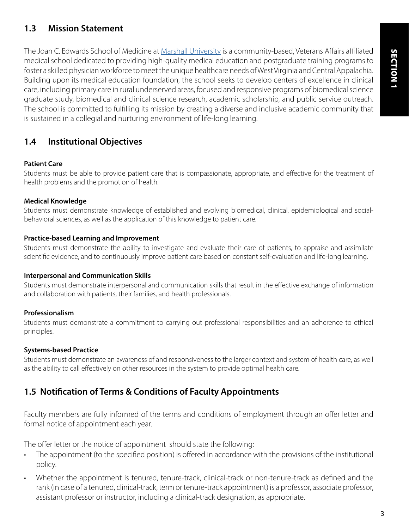# **1.3 Mission Statement**

The Joan C. Edwards School of Medicine at [Marshall University](https://www.marshall.edu/) is a community-based, Veterans Affairs affiliated medical school dedicated to providing high-quality medical education and postgraduate training programs to foster a skilled physician workforce to meet the unique healthcare needs of West Virginia and Central Appalachia. Building upon its medical education foundation, the school seeks to develop centers of excellence in clinical care, including primary care in rural underserved areas, focused and responsive programs of biomedical science graduate study, biomedical and clinical science research, academic scholarship, and public service outreach. The school is committed to fulfilling its mission by creating a diverse and inclusive academic community that is sustained in a collegial and nurturing environment of life-long learning.

# **1.4 Institutional Objectives**

#### **Patient Care**

Students must be able to provide patient care that is compassionate, appropriate, and effective for the treatment of health problems and the promotion of health.

#### **Medical Knowledge**

Students must demonstrate knowledge of established and evolving biomedical, clinical, epidemiological and socialbehavioral sciences, as well as the application of this knowledge to patient care.

#### **Practice-based Learning and Improvement**

Students must demonstrate the ability to investigate and evaluate their care of patients, to appraise and assimilate scientific evidence, and to continuously improve patient care based on constant self-evaluation and life-long learning.

#### **Interpersonal and Communication Skills**

Students must demonstrate interpersonal and communication skills that result in the effective exchange of information and collaboration with patients, their families, and health professionals.

#### **Professionalism**

Students must demonstrate a commitment to carrying out professional responsibilities and an adherence to ethical principles.

#### **Systems-based Practice**

Students must demonstrate an awareness of and responsiveness to the larger context and system of health care, as well as the ability to call effectively on other resources in the system to provide optimal health care.

# **1.5 Notification of Terms & Conditions of Faculty Appointments**

Faculty members are fully informed of the terms and conditions of employment through an offer letter and formal notice of appointment each year.

The offer letter or the notice of appointment should state the following:

- The appointment (to the specified position) is offered in accordance with the provisions of the institutional policy.
- Whether the appointment is tenured, tenure-track, clinical-track or non-tenure-track as defined and the rank (in case of a tenured, clinical-track, term or tenure-track appointment) is a professor, associate professor, assistant professor or instructor, including a clinical-track designation, as appropriate.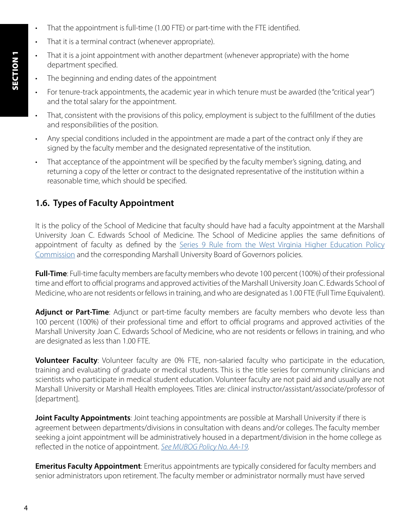- That the appointment is full-time (1.00 FTE) or part-time with the FTE identified.
- That it is a terminal contract (whenever appropriate).
- That it is a joint appointment with another department (whenever appropriate) with the home department specified.
- The beginning and ending dates of the appointment
- For tenure-track appointments, the academic year in which tenure must be awarded (the "critical year") and the total salary for the appointment.
- That, consistent with the provisions of this policy, employment is subject to the fulfillment of the duties and responsibilities of the position.
- Any special conditions included in the appointment are made a part of the contract only if they are signed by the faculty member and the designated representative of the institution.
- That acceptance of the appointment will be specified by the faculty member's signing, dating, and returning a copy of the letter or contract to the designated representative of the institution within a reasonable time, which should be specified.

# **1.6. Types of Faculty Appointment**

It is the policy of the School of Medicine that faculty should have had a faculty appointment at the Marshall University Joan C. Edwards School of Medicine. The School of Medicine applies the same definitions of appointment of faculty as defined by the [Series 9 Rule from the West Virginia Higher Education Policy](https://www.wvhepc.edu/wp-content/uploads/2020/02/133-9final.pdf) [Commission](https://www.wvhepc.edu/wp-content/uploads/2020/02/133-9final.pdf) and the corresponding Marshall University Board of Governors policies.

**Full-Time**: Full-time faculty members are faculty members who devote 100 percent (100%) of their professional time and effort to official programs and approved activities of the Marshall University Joan C. Edwards School of Medicine, who are not residents or fellows in training, and who are designated as 1.00 FTE (Full Time Equivalent).

Adjunct or Part-Time: Adjunct or part-time faculty members are faculty members who devote less than 100 percent (100%) of their professional time and effort to official programs and approved activities of the Marshall University Joan C. Edwards School of Medicine, who are not residents or fellows in training, and who are designated as less than 1.00 FTE.

**Volunteer Faculty**: Volunteer faculty are 0% FTE, non-salaried faculty who participate in the education, training and evaluating of graduate or medical students. This is the title series for community clinicians and scientists who participate in medical student education. Volunteer faculty are not paid aid and usually are not Marshall University or Marshall Health employees. Titles are: clinical instructor/assistant/associate/professor of [department].

**Joint Faculty Appointments**: Joint teaching appointments are possible at Marshall University if there is agreement between departments/divisions in consultation with deans and/or colleges. The faculty member seeking a joint appointment will be administratively housed in a department/division in the home college as reflected in the notice of appointment. *[See MUBOG Policy No. AA-19](https://www.marshall.edu/board/files/Policies/MUBOG%20AA-19%20Joint%20Teaching%20Appointments%20within%20the%20Institution.pdf).* 

**Emeritus Faculty Appointment**: Emeritus appointments are typically considered for faculty members and senior administrators upon retirement. The faculty member or administrator normally must have served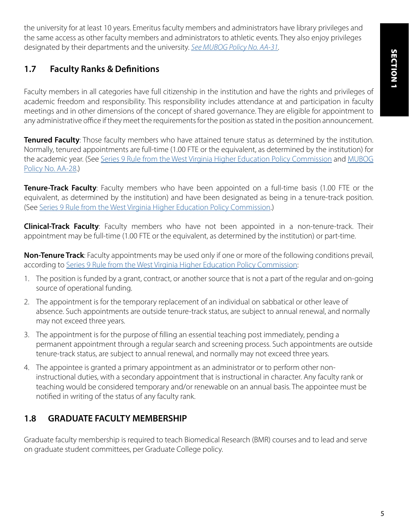the university for at least 10 years. Emeritus faculty members and administrators have library privileges and the same access as other faculty members and administrators to athletic events. They also enjoy privileges designated by their departments and the university. *[See MUBOG Policy No. AA-31](https://www.marshall.edu/board/files/Policies/MUBOG%20AA-31%20Emeritus%20Status%20of%20Retired%20Professionals.pdf).*

# **1.7 Faculty Ranks & Definitions**

Faculty members in all categories have full citizenship in the institution and have the rights and privileges of academic freedom and responsibility. This responsibility includes attendance at and participation in faculty meetings and in other dimensions of the concept of shared governance. They are eligible for appointment to any administrative office if they meet the requirements for the position as stated in the position announcement.

**Tenured Faculty**: Those faculty members who have attained tenure status as determined by the institution. Normally, tenured appointments are full-time (1.00 FTE or the equivalent, as determined by the institution) for the academic year. (See [Series 9 Rule from the West Virginia Higher Education Policy Commission](https://www.wvhepc.edu/wp-content/uploads/2020/02/133-9final.pdf) and [MUBOG](https://www.marshall.edu/board/files/MUBOG-AA-28-Faculty-Tenure-2020-01.pdf) [Policy No. AA-28.](https://www.marshall.edu/board/files/MUBOG-AA-28-Faculty-Tenure-2020-01.pdf))

**Tenure-Track Faculty**: Faculty members who have been appointed on a full-time basis (1.00 FTE or the equivalent, as determined by the institution) and have been designated as being in a tenure-track position. (See [Series 9 Rule from the West Virginia Higher Education Policy Commission](https://www.wvhepc.edu/wp-content/uploads/2020/02/133-9final.pdf).)

**Clinical-Track Faculty**: Faculty members who have not been appointed in a non-tenure-track. Their appointment may be full-time (1.00 FTE or the equivalent, as determined by the institution) or part-time.

**Non-Tenure Track**: Faculty appointments may be used only if one or more of the following conditions prevail, according to [Series 9 Rule from the West Virginia Higher Education Policy Commission](https://www.wvhepc.edu/wp-content/uploads/2020/02/133-9final.pdf):

- 1. The position is funded by a grant, contract, or another source that is not a part of the regular and on-going source of operational funding.
- 2. The appointment is for the temporary replacement of an individual on sabbatical or other leave of absence. Such appointments are outside tenure-track status, are subject to annual renewal, and normally may not exceed three years.
- 3. The appointment is for the purpose of filling an essential teaching post immediately, pending a permanent appointment through a regular search and screening process. Such appointments are outside tenure-track status, are subject to annual renewal, and normally may not exceed three years.
- 4. The appointee is granted a primary appointment as an administrator or to perform other noninstructional duties, with a secondary appointment that is instructional in character. Any faculty rank or teaching would be considered temporary and/or renewable on an annual basis. The appointee must be notified in writing of the status of any faculty rank.

# **1.8 GRADUATE FACULTY MEMBERSHIP**

Graduate faculty membership is required to teach Biomedical Research (BMR) courses and to lead and serve on graduate student committees, per Graduate College policy.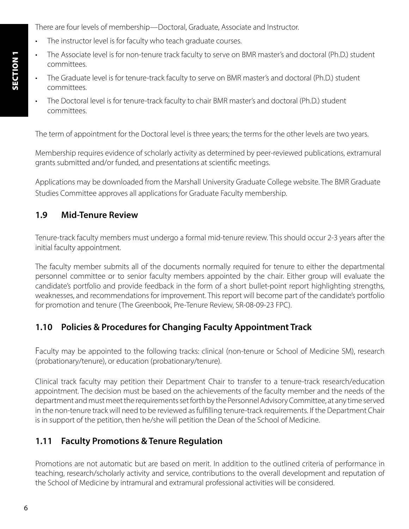There are four levels of membership—Doctoral, Graduate, Associate and Instructor.

- The instructor level is for faculty who teach graduate courses.
- The Associate level is for non-tenure track faculty to serve on BMR master's and doctoral (Ph.D.) student committees.
- The Graduate level is for tenure-track faculty to serve on BMR master's and doctoral (Ph.D.) student committees.
- The Doctoral level is for tenure-track faculty to chair BMR master's and doctoral (Ph.D.) student committees.

The term of appointment for the Doctoral level is three years; the terms for the other levels are two years.

Membership requires evidence of scholarly activity as determined by peer-reviewed publications, extramural grants submitted and/or funded, and presentations at scientific meetings.

Applications may be downloaded from the Marshall University Graduate College website. The BMR Graduate Studies Committee approves all applications for Graduate Faculty membership.

# **1.9 Mid-Tenure Review**

Tenure-track faculty members must undergo a formal mid-tenure review. This should occur 2-3 years after the initial faculty appointment.

The faculty member submits all of the documents normally required for tenure to either the departmental personnel committee or to senior faculty members appointed by the chair. Either group will evaluate the candidate's portfolio and provide feedback in the form of a short bullet-point report highlighting strengths, weaknesses, and recommendations for improvement. This report will become part of the candidate's portfolio for promotion and tenure (The Greenbook, Pre-Tenure Review, SR-08-09-23 FPC).

# **1.10 Policies & Procedures for Changing Faculty Appointment Track**

Faculty may be appointed to the following tracks: clinical (non-tenure or School of Medicine SM), research (probationary/tenure), or education (probationary/tenure).

Clinical track faculty may petition their Department Chair to transfer to a tenure-track research/education appointment. The decision must be based on the achievements of the faculty member and the needs of the department and must meet the requirements set forth by the Personnel Advisory Committee, at any time served in the non-tenure track will need to be reviewed as fulfilling tenure-track requirements. If the Department Chair is in support of the petition, then he/she will petition the Dean of the School of Medicine.

# **1.11 Faculty Promotions & Tenure Regulation**

Promotions are not automatic but are based on merit. In addition to the outlined criteria of performance in teaching, research/scholarly activity and service, contributions to the overall development and reputation of the School of Medicine by intramural and extramural professional activities will be considered.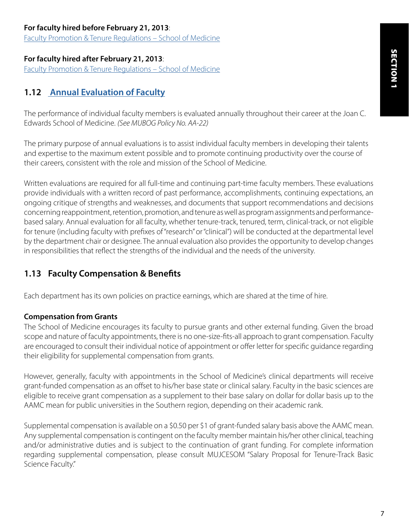#### **For faculty hired before February 21, 2013**:

[Faculty Promotion & Tenure Regulations – School of Medicine](https://jcesom.marshall.edu/media/28777/Faculty-Promotion-Tenure-Regulations-Pre-2-21-2013.pdf)

#### **For faculty hired after February 21, 2013**:

[Faculty Promotion & Tenure Regulations – School of Medicine](https://jcesom.marshall.edu/media/59963/reformatted-faculty-promotion-tenure-regulations-post-2013_sept2021_mf.pdf)

# **1.12 [Annual Evaluation of Faculty](https://jcesom.marshall.edu/media/60359/faculty-annual-evaluation-2022.doc)**

The performance of individual faculty members is evaluated annually throughout their career at the Joan C. Edwards School of Medicine. *(See MUBOG Policy No. AA-22)*

The primary purpose of annual evaluations is to assist individual faculty members in developing their talents and expertise to the maximum extent possible and to promote continuing productivity over the course of their careers, consistent with the role and mission of the School of Medicine.

Written evaluations are required for all full-time and continuing part-time faculty members. These evaluations provide individuals with a written record of past performance, accomplishments, continuing expectations, an ongoing critique of strengths and weaknesses, and documents that support recommendations and decisions concerning reappointment, retention, promotion, and tenure as well as program assignments and performancebased salary. Annual evaluation for all faculty, whether tenure-track, tenured, term, clinical-track, or not eligible for tenure (including faculty with prefixes of "research" or "clinical") will be conducted at the departmental level by the department chair or designee. The annual evaluation also provides the opportunity to develop changes in responsibilities that reflect the strengths of the individual and the needs of the university.

### **1.13 Faculty Compensation & Benefits**

Each department has its own policies on practice earnings, which are shared at the time of hire.

#### **Compensation from Grants**

The School of Medicine encourages its faculty to pursue grants and other external funding. Given the broad scope and nature of faculty appointments, there is no one-size-fits-all approach to grant compensation. Faculty are encouraged to consult their individual notice of appointment or offer letter for specific guidance regarding their eligibility for supplemental compensation from grants.

However, generally, faculty with appointments in the School of Medicine's clinical departments will receive grant-funded compensation as an offset to his/her base state or clinical salary. Faculty in the basic sciences are eligible to receive grant compensation as a supplement to their base salary on dollar for dollar basis up to the AAMC mean for public universities in the Southern region, depending on their academic rank.

Supplemental compensation is available on a \$0.50 per \$1 of grant-funded salary basis above the AAMC mean. Any supplemental compensation is contingent on the faculty member maintain his/her other clinical, teaching and/or administrative duties and is subject to the continuation of grant funding. For complete information regarding supplemental compensation, please consult MUJCESOM "Salary Proposal for Tenure-Track Basic Science Faculty."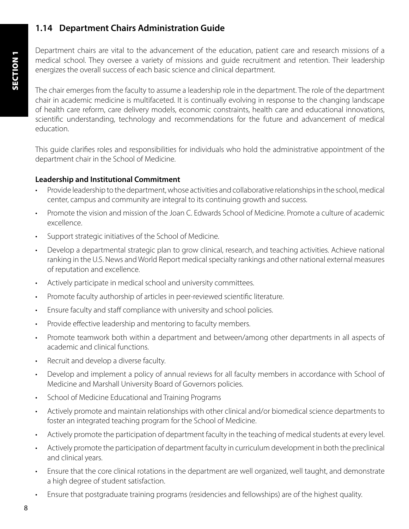# **1.14 Department Chairs Administration Guide**

Department chairs are vital to the advancement of the education, patient care and research missions of a medical school. They oversee a variety of missions and guide recruitment and retention. Their leadership energizes the overall success of each basic science and clinical department.

The chair emerges from the faculty to assume a leadership role in the department. The role of the department chair in academic medicine is multifaceted. It is continually evolving in response to the changing landscape of health care reform, care delivery models, economic constraints, health care and educational innovations, scientific understanding, technology and recommendations for the future and advancement of medical education.

This guide clarifies roles and responsibilities for individuals who hold the administrative appointment of the department chair in the School of Medicine.

#### **Leadership and Institutional Commitment**

- Provide leadership to the department, whose activities and collaborative relationships in the school, medical center, campus and community are integral to its continuing growth and success.
- Promote the vision and mission of the Joan C. Edwards School of Medicine. Promote a culture of academic excellence.
- Support strategic initiatives of the School of Medicine.
- Develop a departmental strategic plan to grow clinical, research, and teaching activities. Achieve national ranking in the U.S. News and World Report medical specialty rankings and other national external measures of reputation and excellence.
- Actively participate in medical school and university committees.
- Promote faculty authorship of articles in peer-reviewed scientific literature.
- Ensure faculty and staff compliance with university and school policies.
- Provide effective leadership and mentoring to faculty members.
- Promote teamwork both within a department and between/among other departments in all aspects of academic and clinical functions.
- Recruit and develop a diverse faculty.
- Develop and implement a policy of annual reviews for all faculty members in accordance with School of Medicine and Marshall University Board of Governors policies.
- School of Medicine Educational and Training Programs
- Actively promote and maintain relationships with other clinical and/or biomedical science departments to foster an integrated teaching program for the School of Medicine.
- Actively promote the participation of department faculty in the teaching of medical students at every level.
- Actively promote the participation of department faculty in curriculum development in both the preclinical and clinical years.
- Ensure that the core clinical rotations in the department are well organized, well taught, and demonstrate a high degree of student satisfaction.
- Ensure that postgraduate training programs (residencies and fellowships) are of the highest quality.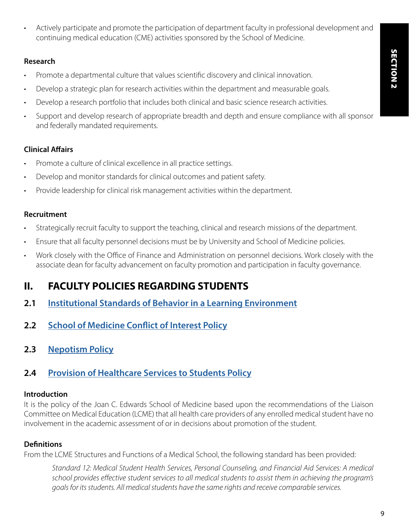• Actively participate and promote the participation of department faculty in professional development and continuing medical education (CME) activities sponsored by the School of Medicine.

#### **Research**

- Promote a departmental culture that values scientific discovery and clinical innovation.
- Develop a strategic plan for research activities within the department and measurable goals.
- Develop a research portfolio that includes both clinical and basic science research activities.
- Support and develop research of appropriate breadth and depth and ensure compliance with all sponsor and federally mandated requirements.

### **Clinical Affairs**

- Promote a culture of clinical excellence in all practice settings.
- Develop and monitor standards for clinical outcomes and patient safety.
- Provide leadership for clinical risk management activities within the department.

### **Recruitment**

- Strategically recruit faculty to support the teaching, clinical and research missions of the department.
- Ensure that all faculty personnel decisions must be by University and School of Medicine policies.
- Work closely with the Office of Finance and Administration on personnel decisions. Work closely with the associate dean for faculty advancement on faculty promotion and participation in faculty governance.

# **II. FACULTY POLICIES REGARDING STUDENTS**

- **2.1 [Institutional Standards of Behavior in a Learning Environment](https://jcesom.marshall.edu/media/58961/institutional-standards-of-behavior-in-a-learning-environment.pdf)**
- **2.2 [School of Medicine Conflict of Interest Policy](https://jcesom.marshall.edu/media/21873/Conflict-of-Interest-Policy.pdf)**
- **2.3 [Nepotism Policy](https://jcesom.marshall.edu/media/21870/Nepotism-Policy.pdf)**

# **2.4 [Provision of Healthcare Services to Students Policy](https://jcesom.marshall.edu/media/57089/provision-of-healthcare-services-to-students.pdf)**

### **Introduction**

It is the policy of the Joan C. Edwards School of Medicine based upon the recommendations of the Liaison Committee on Medical Education (LCME) that all health care providers of any enrolled medical student have no involvement in the academic assessment of or in decisions about promotion of the student.

### **Definitions**

From the LCME Structures and Functions of a Medical School, the following standard has been provided:

*Standard 12: Medical Student Health Services, Personal Counseling, and Financial Aid Services: A medical school provides effective student services to all medical students to assist them in achieving the program's goals for its students. All medical students have the same rights and receive comparable services.*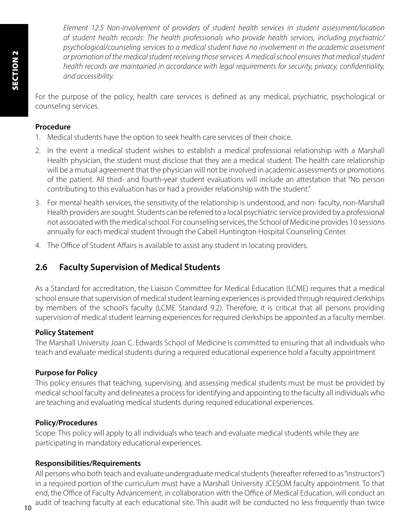*Element 12.5 Non-Involvement of providers of student health services in student assessment/location of student health records: The health professionals who provide health services, including psychiatric/ psychological/counseling services to a medical student have no involvement in the academic assessment or promotion of the medical student receiving those services. A medical school ensures that medical student health records are maintained in accordance with legal requirements for security, privacy, confidentiality, and accessibility.*

For the purpose of the policy, health care services is defined as any medical, psychiatric, psychological or counseling services.

#### **Procedure**

- 1. Medical students have the option to seek health care services of their choice.
- 2. In the event a medical student wishes to establish a medical professional relationship with a Marshall Health physician, the student must disclose that they are a medical student. The health care relationship will be a mutual agreement that the physician will not be involved in academic assessments or promotions of the patient. All third- and fourth-year student evaluations will include an attestation that "No person contributing to this evaluation has or had a provider relationship with the student."
- 3. For mental health services, the sensitivity of the relationship is understood, and non- faculty, non-Marshall Health providers are sought. Students can be referred to a local psychiatric service provided by a professional not associated with the medical school. For counseling services, the School of Medicine provides 10 sessions annually for each medical student through the Cabell Huntington Hospital Counseling Center.
- 4. The Office of Student Affairs is available to assist any student in locating providers.

## **2.6 Faculty Supervision of Medical Students**

As a Standard for accreditation, the Liaison Committee for Medical Education (LCME) requires that a medical school ensure that supervision of medical student learning experiences is provided through required clerkships by members of the school's faculty (LCME Standard 9.2). Therefore, it is critical that all persons providing supervision of medical student learning experiences for required clerkships be appointed as a faculty member.

#### **Policy Statement**

The Marshall University Joan C. Edwards School of Medicine is committed to ensuring that all individuals who teach and evaluate medical students during a required educational experience hold a faculty appointment

#### **Purpose for Policy**

This policy ensures that teaching, supervising, and assessing medical students must be must be provided by medical school faculty and delineates a process for identifying and appointing to the faculty all individuals who are teaching and evaluating medical students during required educational experiences.

#### **Policy/Procedures**

Scope: This policy will apply to all individuals who teach and evaluate medical students while they are participating in mandatory educational experiences.

#### **Responsibilities/Requirements**

All persons who both teach and evaluate undergraduate medical students (hereafter referred to as "instructors") in a required portion of the curriculum must have a Marshall University JCESOM faculty appointment. To that end, the Office of Faculty Advancement, in collaboration with the Office of Medical Education, will conduct an audit of teaching faculty at each educational site. This audit will be conducted no less frequently than twice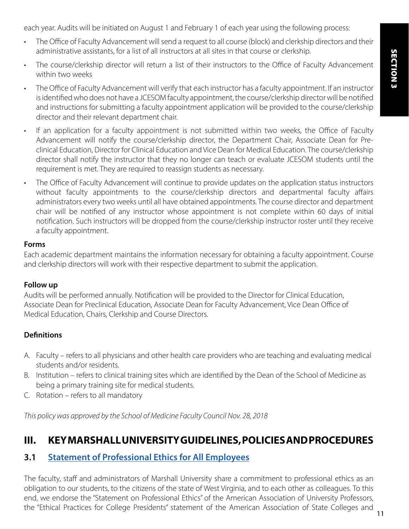each year. Audits will be initiated on August 1 and February 1 of each year using the following process:

- The Office of Faculty Advancement will send a request to all course (block) and clerkship directors and their administrative assistants, for a list of all instructors at all sites in that course or clerkship.
- The course/clerkship director will return a list of their instructors to the Office of Faculty Advancement within two weeks
- The Office of Faculty Advancement will verify that each instructor has a faculty appointment. If an instructor is identified who does not have a JCESOM faculty appointment, the course/clerkship director will be notified and instructions for submitting a faculty appointment application will be provided to the course/clerkship director and their relevant department chair.
- If an application for a faculty appointment is not submitted within two weeks, the Office of Faculty Advancement will notify the course/clerkship director, the Department Chair, Associate Dean for Preclinical Education, Director for Clinical Education and Vice Dean for Medical Education. The course/clerkship director shall notify the instructor that they no longer can teach or evaluate JCESOM students until the requirement is met. They are required to reassign students as necessary.
- The Office of Faculty Advancement will continue to provide updates on the application status instructors without faculty appointments to the course/clerkship directors and departmental faculty affairs administrators every two weeks until all have obtained appointments. The course director and department chair will be notified of any instructor whose appointment is not complete within 60 days of initial notification. Such instructors will be dropped from the course/clerkship instructor roster until they receive a faculty appointment.

#### **Forms**

Each academic department maintains the information necessary for obtaining a faculty appointment. Course and clerkship directors will work with their respective department to submit the application.

#### **Follow up**

Audits will be performed annually. Notification will be provided to the Director for Clinical Education, Associate Dean for Preclinical Education, Associate Dean for Faculty Advancement, Vice Dean Office of Medical Education, Chairs, Clerkship and Course Directors.

#### **Definitions**

- A. Faculty refers to all physicians and other health care providers who are teaching and evaluating medical students and/or residents.
- B. Institution refers to clinical training sites which are identified by the Dean of the School of Medicine as being a primary training site for medical students.
- C. Rotation refers to all mandatory

*This policy was approved by the School of Medicine Faculty Council Nov. 28, 2018*

# **III. KEY MARSHALL UNIVERSITY GUIDELINES, POLICIES AND PROCEDURES**

### **3.1 [Statement of Professional Ethics for All Employees](https://www.marshall.edu/senate/EOY_BOOKS/Ethics%2001-02.htm)**

The faculty, staff and administrators of Marshall University share a commitment to professional ethics as an obligation to our students, to the citizens of the state of West Virginia, and to each other as colleagues. To this end, we endorse the "Statement on Professional Ethics" of the American Association of University Professors, the "Ethical Practices for College Presidents" statement of the American Association of State Colleges and 11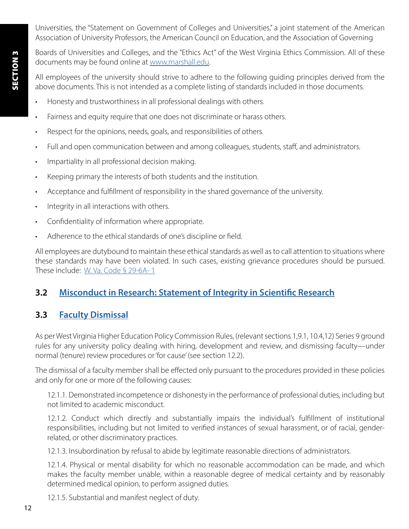Boards of Universities and Colleges, and the "Ethics Act" of the West Virginia Ethics Commission. All of these documents may be found online at [www.marshall.edu](https://www.marshall.edu/).

All employees of the university should strive to adhere to the following guiding principles derived from the above documents. This is not intended as a complete listing of standards included in those documents.

- Honesty and trustworthiness in all professional dealings with others.
- Fairness and equity require that one does not discriminate or harass others.
- Respect for the opinions, needs, goals, and responsibilities of others.
- Full and open communication between and among colleagues, students, staff, and administrators.
- Impartiality in all professional decision making.
- Keeping primary the interests of both students and the institution.
- Acceptance and fulfillment of responsibility in the shared governance of the university.
- Integrity in all interactions with others.
- Confidentiality of information where appropriate.
- Adherence to the ethical standards of one's discipline or field.

All employees are dutybound to maintain these ethical standards as well as to call attention to situations where these standards may have been violated. In such cases, existing grievance procedures should be pursued. These include: [W. Va. Code § 29-6A- 1](https://www.wvlegislature.gov/wvcode/code.cfm?chap=29&art=6)

# **3.2 [Misconduct in Research: Statement of Integrity in Scientific Research](https://www.marshall.edu/murc/files/MURC_Misconduct-in-Research-Policy2_Revised-2017.pdf)**

# **3.3 [Faculty Dismissal](https://www.wvhepc.edu/wp-content/uploads/2020/02/133-9final.pdf)**

As per West Virginia Higher Education Policy Commission Rules, (relevant sections 1,9.1, 10.4,12) Series 9 ground rules for any university policy dealing with hiring, development and review, and dismissing faculty—under normal (tenure) review procedures or 'for cause' (see section 12.2).

The dismissal of a faculty member shall be effected only pursuant to the procedures provided in these policies and only for one or more of the following causes:

12.1.1. Demonstrated incompetence or dishonesty in the performance of professional duties, including but not limited to academic misconduct.

12.1.2. Conduct which directly and substantially impairs the individual's fulfillment of institutional responsibilities, including but not limited to verified instances of sexual harassment, or of racial, genderrelated, or other discriminatory practices.

12.1.3. Insubordination by refusal to abide by legitimate reasonable directions of administrators.

12.1.4. Physical or mental disability for which no reasonable accommodation can be made, and which makes the faculty member unable, within a reasonable degree of medical certainty and by reasonably determined medical opinion, to perform assigned duties.

12.1.5. Substantial and manifest neglect of duty.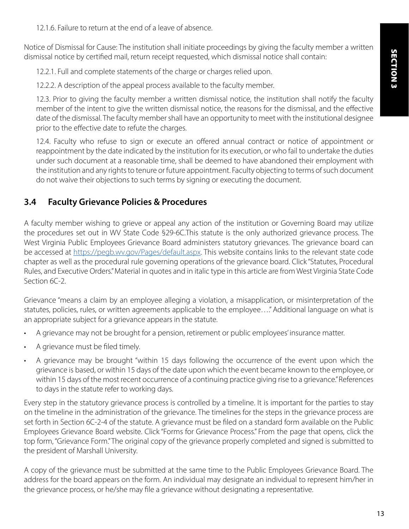12.1.6. Failure to return at the end of a leave of absence.

Notice of Dismissal for Cause: The institution shall initiate proceedings by giving the faculty member a written dismissal notice by certified mail, return receipt requested, which dismissal notice shall contain:

12.2.1. Full and complete statements of the charge or charges relied upon.

12.2.2. A description of the appeal process available to the faculty member.

12.3. Prior to giving the faculty member a written dismissal notice, the institution shall notify the faculty member of the intent to give the written dismissal notice, the reasons for the dismissal, and the effective date of the dismissal. The faculty member shall have an opportunity to meet with the institutional designee prior to the effective date to refute the charges.

12.4. Faculty who refuse to sign or execute an offered annual contract or notice of appointment or reappointment by the date indicated by the institution for its execution, or who fail to undertake the duties under such document at a reasonable time, shall be deemed to have abandoned their employment with the institution and any rights to tenure or future appointment. Faculty objecting to terms of such document do not waive their objections to such terms by signing or executing the document.

### **3.4 Faculty Grievance Policies & Procedures**

A faculty member wishing to grieve or appeal any action of the institution or Governing Board may utilize the procedures set out in WV State Code §29-6C.This statute is the only authorized grievance process. The West Virginia Public Employees Grievance Board administers statutory grievances. The grievance board can be accessed at [https://pegb.wv.gov/Pages/default.aspx.](https://pegb.wv.gov/Pages/default.aspx) This website contains links to the relevant state code chapter as well as the procedural rule governing operations of the grievance board. Click "Statutes, Procedural Rules, and Executive Orders." Material in quotes and in italic type in this article are from West Virginia State Code Section 6C-2.

Grievance "means a claim by an employee alleging a violation, a misapplication, or misinterpretation of the statutes, policies, rules, or written agreements applicable to the employee…." Additional language on what is an appropriate subject for a grievance appears in the statute.

- A grievance may not be brought for a pension, retirement or public employees' insurance matter.
- A grievance must be filed timely.
- A grievance may be brought "within 15 days following the occurrence of the event upon which the grievance is based, or within 15 days of the date upon which the event became known to the employee, or within 15 days of the most recent occurrence of a continuing practice giving rise to a grievance." References to days in the statute refer to working days.

Every step in the statutory grievance process is controlled by a timeline. It is important for the parties to stay on the timeline in the administration of the grievance. The timelines for the steps in the grievance process are set forth in Section 6C-2-4 of the statute. A grievance must be filed on a standard form available on the Public Employees Grievance Board website. Click "Forms for Grievance Process." From the page that opens, click the top form, "Grievance Form." The original copy of the grievance properly completed and signed is submitted to the president of Marshall University.

A copy of the grievance must be submitted at the same time to the Public Employees Grievance Board. The address for the board appears on the form. An individual may designate an individual to represent him/her in the grievance process, or he/she may file a grievance without designating a representative.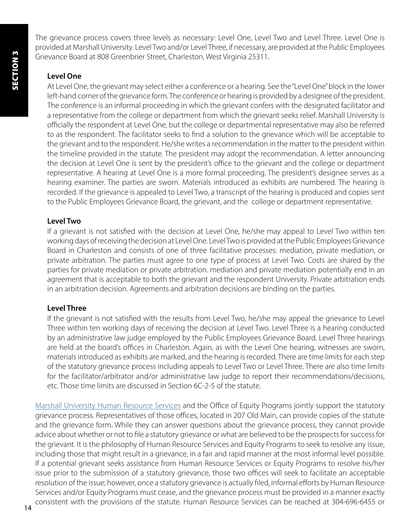The grievance process covers three levels as necessary: Level One, Level Two and Level Three. Level One is provided at Marshall University. Level Two and/or Level Three, if necessary, are provided at the Public Employees Grievance Board at 808 Greenbrier Street, Charleston, West Virginia 25311.

### **Level One**

At Level One, the grievant may select either a conference or a hearing. See the "Level One" block in the lower left-hand corner of the grievance form. The conference or hearing is provided by a designee of the president. The conference is an informal proceeding in which the grievant confers with the designated facilitator and a representative from the college or department from which the grievant seeks relief. Marshall University is officially the respondent at Level One, but the college or departmental representative may also be referred to as the respondent. The facilitator seeks to find a solution to the grievance which will be acceptable to the grievant and to the respondent. He/she writes a recommendation in the matter to the president within the timeline provided in the statute. The president may adopt the recommendation. A letter announcing the decision at Level One is sent by the president's office to the grievant and the college or department representative. A hearing at Level One is a more formal proceeding. The president's designee serves as a hearing examiner. The parties are sworn. Materials introduced as exhibits are numbered. The hearing is recorded. If the grievance is appealed to Level Two, a transcript of the hearing is produced and copies sent to the Public Employees Grievance Board, the grievant, and the college or department representative.

### **Level Two**

If a grievant is not satisfied with the decision at Level One, he/she may appeal to Level Two within ten working days of receiving the decision at Level One. Level Two is provided at the Public Employees Grievance Board in Charleston and consists of one of three facilitative processes: mediation, private mediation, or private arbitration. The parties must agree to one type of process at Level Two. Costs are shared by the parties for private mediation or private arbitration. mediation and private mediation potentially end in an agreement that is acceptable to both the grievant and the respondent University. Private arbitration ends in an arbitration decision. Agreements and arbitration decisions are binding on the parties.

### **Level Three**

If the grievant is not satisfied with the results from Level Two, he/she may appeal the grievance to Level Three within ten working days of receiving the decision at Level Two. Level Three is a hearing conducted by an administrative law judge employed by the Public Employees Grievance Board. Level Three hearings are held at the board's offices in Charleston. Again, as with the Level One hearing, witnesses are sworn, materials introduced as exhibits are marked, and the hearing is recorded. There are time limits for each step of the statutory grievance process including appeals to Level Two or Level Three. There are also time limits for the facilitator/arbitrator and/or administrative law judge to report their recommendations/decisions, etc. Those time limits are discussed in Section 6C-2-5 of the statute.

[Marshall University Human Resource Services](https://www.marshall.edu/human-resources/) and the Office of Equity Programs jointly support the statutory grievance process. Representatives of those offices, located in 207 Old Main, can provide copies of the statute and the grievance form. While they can answer questions about the grievance process, they cannot provide advice about whether or not to file a statutory grievance or what are believed to be the prospects for success for the grievant. It is the philosophy of Human Resource Services and Equity Programs to seek to resolve any issue, including those that might result in a grievance, in a fair and rapid manner at the most informal level possible. If a potential grievant seeks assistance from Human Resource Services or Equity Programs to resolve his/her issue prior to the submission of a statutory grievance, those two offices will seek to facilitate an acceptable resolution of the issue; however, once a statutory grievance is actually filed, informal efforts by Human Resource Services and/or Equity Programs must cease, and the grievance process must be provided in a manner exactly consistent with the provisions of the statute. Human Resource Services can be reached at 304-696-6455 or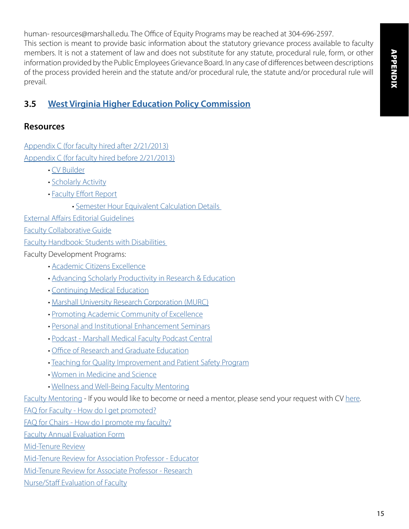human- resources@marshall.edu. The Office of Equity Programs may be reached at 304-696-2597. This section is meant to provide basic information about the statutory grievance process available to faculty members. It is not a statement of law and does not substitute for any statute, procedural rule, form, or other information provided by the Public Employees Grievance Board. In any case of differences between descriptions of the process provided herein and the statute and/or procedural rule, the statute and/or procedural rule will prevail.

# **3.5 [West Virginia Higher Education Policy Commission](https://www.wvhepc.edu/)**

### **Resources**

[Appendix C \(for faculty hired after 2/21/2013\)](https://jcesom.marshall.edu/media/59963/reformatted-faculty-promotion-tenure-regulations-post-2013_sept2021_mf.pdf) [Appendix C \(for faculty hired before 2/21/2013\)](http://jcesom.marshall.edu/media/28777/Faculty-Promotion-Tenure-Regulations-Pre-2-21-2013.pdf)

- [CV Builder](https://jcesom.marshall.edu/faculty-staff/faculty-advancement/faculty-development-programs/cv-portfolio/)
- [Scholarly Activity](https://somwebapps.marshall.edu/scholact/)
- [Faculty Effort Report](https://somwebapps.marshall.edu/FacultyEffort/)
	- [Semester Hour Equivalent Calculation Details](https://jcesom.marshall.edu/login-and-error-pages/login/?returnurl=%2fmedia%2f56597%2fsemester-hour-equivalent-calculation-details.pdf)

[External Affairs Editorial Guidelines](https://jcesom.marshall.edu/media/60440/2022_editorial-guidelines.pdf)

[Faculty Collaborative Guide](https://jcesom.marshall.edu/media/56398/som-faculty-collaborationguide.pdf)

[Faculty Handbook: Students with Disabilities](https://www.marshall.edu/academic-affairs/files/Faculty_Handbook_Students_with_Disabilities-UPDATED.pdf) 

Faculty Development Programs:

- [Academic Citizens Excellence](https://jcesom.marshall.edu/faculty-staff/faculty-advancement/faculty-development-programs/academic-citizenship-excellence-ace/)
- [Advancing Scholarly Productivity in Research & Education](https://jcesom.marshall.edu/faculty-staff/faculty-advancement/faculty-development-programs/aspire-program/)
- [Continuing Medical Education](https://jcesom.marshall.edu/continuing-medical-education/)
- [Marshall University Research Corporation \(MURC\)](https://www.marshall.edu/murc/)
- [Promoting Academic Community of Excellence](https://jcesom.marshall.edu/faculty-staff/faculty-advancement/faculty-development-programs/promoting-academic-community-of-excellence-pace/)
- [Personal and Institutional Enhancement Seminars](https://jcesom.marshall.edu/faculty-staff/faculty-advancement/faculty-development-programs/personal-and-institutional-enhancement-seminar-pies/)
- [Podcast Marshall Medical Faculty Podcast Central](https://mujcesomfacultypodcastcentral.podbean.com/)
- [Office of Research and Graduate Education](https://jcesom.marshall.edu/research/office-of-research-and-graduate-education/)
- • [Teaching for Quality Improvement and Patient Safety Program](https://jcesom.marshall.edu/faculty-staff/faculty-advancement/faculty-development-programs/teaching-for-quality-improvement-and-patient-safety-te4q-program/)
- • [Women in Medicine and Science](https://jcesom.marshall.edu/faculty-staff/faculty-advancement/faculty-development-programs/women-in-medicine-science/)
- • [Wellness and Well-Being Faculty Mentoring](https://jcesom.marshall.edu/faculty-staff/faculty-advancement/faculty-wellness-program-inspire-wellness/)

[Faculty Mentoring](https://jcesom.marshall.edu/faculty-staff/faculty-advancement/faculty-mentoring/) - If you would like to become or need a mentor, please send your request with CV [here.](mailto:facultymentoring%40marshall.edu?subject=)

[FAQ for Faculty - How do I get promoted?](https://jcesom.marshall.edu/media/57193/pt-faculty-faq.pdf)

[FAQ for Chairs - How do I promote my faculty?](https://jcesom.marshall.edu/media/57192/pt-chair-faq.pdf)

[Faculty Annual Evaluation Form](https://jcesom.marshall.edu/media/56638/faculty-annual-evaluation.doc)

[Mid-Tenure Review](https://jcesom.marshall.edu/media/57085/mid-tenure-review.docx)

[Mid-Tenure Review for Association Professor - Educator](https://jcesom.marshall.edu/media/57086/mid-tenure-review-associate-professor-educator.docx)

[Mid-Tenure Review for Associate Professor - Research](https://jcesom.marshall.edu/media/57087/mid-tenure-review-associate-professor-research.docx)

[Nurse/Staff Evaluation of Faculty](https://jcesom.marshall.edu/media/57088/nurse-staff-evaluation.docx)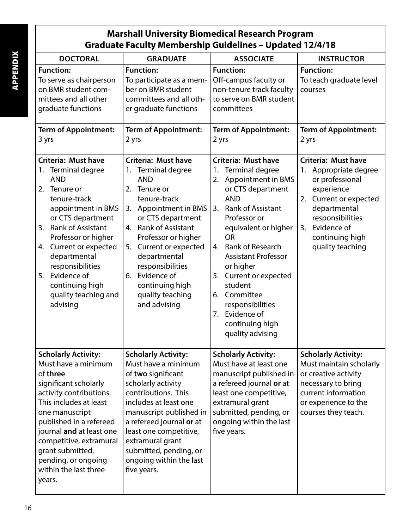# **Marshall University Biomedical Research Program Graduate Faculty Membership Guidelines – Updated 12/4/18**

| <b>DOCTORAL</b>                                                                                                                                                                                                                                                                                                                                    | <b>GRADUATE</b>                                                                                                                                                                                                                                                                                                                                                    | <b>ASSOCIATE</b>                                                                                                                                                                                                                                                                                                                                                                                                        | <b>INSTRUCTOR</b>                                                                                                                                                                                              |
|----------------------------------------------------------------------------------------------------------------------------------------------------------------------------------------------------------------------------------------------------------------------------------------------------------------------------------------------------|--------------------------------------------------------------------------------------------------------------------------------------------------------------------------------------------------------------------------------------------------------------------------------------------------------------------------------------------------------------------|-------------------------------------------------------------------------------------------------------------------------------------------------------------------------------------------------------------------------------------------------------------------------------------------------------------------------------------------------------------------------------------------------------------------------|----------------------------------------------------------------------------------------------------------------------------------------------------------------------------------------------------------------|
| <b>Function:</b><br>To serve as chairperson<br>on BMR student com-<br>mittees and all other<br>graduate functions                                                                                                                                                                                                                                  | <b>Function:</b><br>To participate as a mem-<br>ber on BMR student<br>committees and all oth-<br>er graduate functions                                                                                                                                                                                                                                             | <b>Function:</b><br>Off-campus faculty or<br>non-tenure track faculty<br>to serve on BMR student<br>committees                                                                                                                                                                                                                                                                                                          | <b>Function:</b><br>To teach graduate level<br>courses                                                                                                                                                         |
| <b>Term of Appointment:</b><br>3 yrs                                                                                                                                                                                                                                                                                                               | <b>Term of Appointment:</b><br>2 yrs                                                                                                                                                                                                                                                                                                                               | <b>Term of Appointment:</b><br>2 yrs                                                                                                                                                                                                                                                                                                                                                                                    | <b>Term of Appointment:</b><br>2 yrs                                                                                                                                                                           |
| <b>Criteria: Must have</b><br>Terminal degree<br>1.<br><b>AND</b><br>Tenure or<br>2.<br>tenure-track<br>appointment in BMS<br>or CTS department<br><b>Rank of Assistant</b><br>3.<br>Professor or higher<br>4. Current or expected<br>departmental<br>responsibilities<br>Evidence of<br>5.<br>continuing high<br>quality teaching and<br>advising | <b>Criteria: Must have</b><br>Terminal degree<br>1.<br><b>AND</b><br>Tenure or<br>2.<br>tenure-track<br><b>Appointment in BMS</b><br>3.<br>or CTS department<br><b>Rank of Assistant</b><br>4.<br>Professor or higher<br>Current or expected<br>5.<br>departmental<br>responsibilities<br>Evidence of<br>6.<br>continuing high<br>quality teaching<br>and advising | <b>Criteria: Must have</b><br><b>Terminal degree</b><br>1.<br><b>Appointment in BMS</b><br>2.<br>or CTS department<br><b>AND</b><br>3. Rank of Assistant<br>Professor or<br>equivalent or higher<br><b>OR</b><br>4. Rank of Research<br><b>Assistant Professor</b><br>or higher<br>Current or expected<br>5.<br>student<br>6. Committee<br>responsibilities<br>Evidence of<br>7.<br>continuing high<br>quality advising | <b>Criteria: Must have</b><br>Appropriate degree<br>1.<br>or professional<br>experience<br>2. Current or expected<br>departmental<br>responsibilities<br>3. Evidence of<br>continuing high<br>quality teaching |
| <b>Scholarly Activity:</b><br>Must have a minimum<br>of three<br>significant scholarly<br>activity contributions.<br>This includes at least<br>one manuscript<br>published in a refereed<br>journal and at least one<br>competitive, extramural<br>grant submitted,<br>pending, or ongoing<br>within the last three<br>years.                      | <b>Scholarly Activity:</b><br>Must have a minimum<br>of two significant<br>scholarly activity<br>contributions. This<br>includes at least one<br>manuscript published in<br>a refereed journal or at<br>least one competitive,<br>extramural grant<br>submitted, pending, or<br>ongoing within the last<br>five years.                                             | <b>Scholarly Activity:</b><br>Must have at least one<br>manuscript published in<br>a refereed journal or at<br>least one competitive,<br>extramural grant<br>submitted, pending, or<br>ongoing within the last<br>five years.                                                                                                                                                                                           | <b>Scholarly Activity:</b><br>Must maintain scholarly<br>or creative activity<br>necessary to bring<br>current information<br>or experience to the<br>courses they teach.                                      |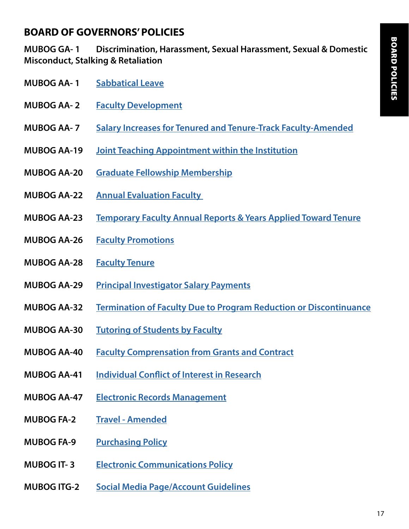# **BOARD OF GOVERNORS' POLICIES**

**MUBOG GA- 1 Discrimination, Harassment, Sexual Harassment, Sexual & Domestic Misconduct, Stalking & Retaliation**

- **MUBOG AA- 1 [Sabbatical Leave](https://www.marshall.edu/board/files/MUBOG-AA-01-Sabbatical-Leave-2021-06.pdf)**
- **MUBOG AA- 2 [Faculty Development](https://www.marshall.edu/board/files/MUBOG-AA-2-Faculty-Development-2019-9.pdf)**
- **MUBOG AA- 7 [Salary Increases for Tenured and Tenure-Track Faculty-Amended](https://www.marshall.edu/board/files/MUBOG-AA-7-Faculty-Salary-Increases-2021-07.pdf)**
- **MUBOG AA-19 [Joint Teaching Appointment within the Institution](https://www.marshall.edu/board/files/Policies/MUBOG%20AA-19%20Joint%20Teaching%20Appointments%20within%20the%20Institution.pdf)**
- **MUBOG AA-20 [Graduate Fellowship Membership](https://www.marshall.edu/board/files/MUBOG-AA-20-Graduate-Faculty-Membership-2019-9.pdf)**
- **MUBOG AA-22 [Annual Evaluation Faculty](https://www.marshall.edu/board/files/MUBOG-AA-22-Annual-Evaluation-of-Faculty-2021-06.pdf)**
- **MUBOG AA-23 [Temporary Faculty Annual Reports & Years Applied Toward Tenure](https://www.marshall.edu/board/files/Policies/MUBOG%20AA-23%20Temporary%20Faculty%20Annual%20Reports%20and%20Years%20Applied%20Toward%20Tenure.pdf)**
- **MUBOG AA-26 [Faculty Promotions](https://www.marshall.edu/board/files/MUBOG-AA-26-Faculty-Promotion-2020-01.pdf)**
- **MUBOG AA-28 [Faculty Tenure](https://www.marshall.edu/board/files/MUBOG-AA-28-Faculty-Tenure-2020-09.pdf)**
- **MUBOG AA-29 [Principal Investigator Salary Payments](https://www.marshall.edu/board/files/Policies/MUBOG%20AA-29%20Principal%20Investigator%20Salary%20Payments.pdf)**
- **MUBOG AA-32 [Termination of Faculty Due to Program Reduction or Discontinuance](https://www.marshall.edu/board/files/MUBOG-AA-32-Termination-of-Faculty-Due-to-Program-Reduction-or-Discontinuance-2019-10.pdf)**
- **MUBOG AA-30 [Tutoring of Students by Faculty](https://www.marshall.edu/board/files/MUBOG-AA-30-Tutoring-of-Students-by-Faculty-2019-05.pdf)**
- **MUBOG AA-40 [Faculty Comprensation from Grants and Contract](https://www.marshall.edu/board/files/MUBOG-AA-40-Faculty-Compensation-from-Grants-and-Contracts-2019-9.pdf)**
- **MUBOG AA-41 [Individual Conflict of Interest in Research](https://www.marshall.edu/board/files/MUBOG-AA-41-Individual-Conflict-of-Interest-in-Research-2020-01.pdf)**
- **MUBOG AA-47 [Electronic Records Management](https://www.marshall.edu/board/files/MUBOG-AA-47-Electronic-Records-Management-Policy-2020-03.pdf)**
- **MUBOG FA-2 [Travel Amended](https://www.marshall.edu/board/files/MUBOG-FA-2-Travel-Policy-2019-05.pdf)**
- **MUBOG FA-9 [Purchasing Policy](https://www.marshall.edu/board/files/MUBOG-FA-09-Purchasing-Policy-2021-06.pdf)**
- **MUBOG IT- 3 [Electronic Communications Policy](https://www.marshall.edu/board/files/MUBOG-IT-3-Electronic-Communications-Policy-proposed-2019-10.pdf)**
- **MUBOG ITG-2 [Social Media Page/Account Guidelines](https://jcesom.marshall.edu/media/60439/itg-2.pdf)**